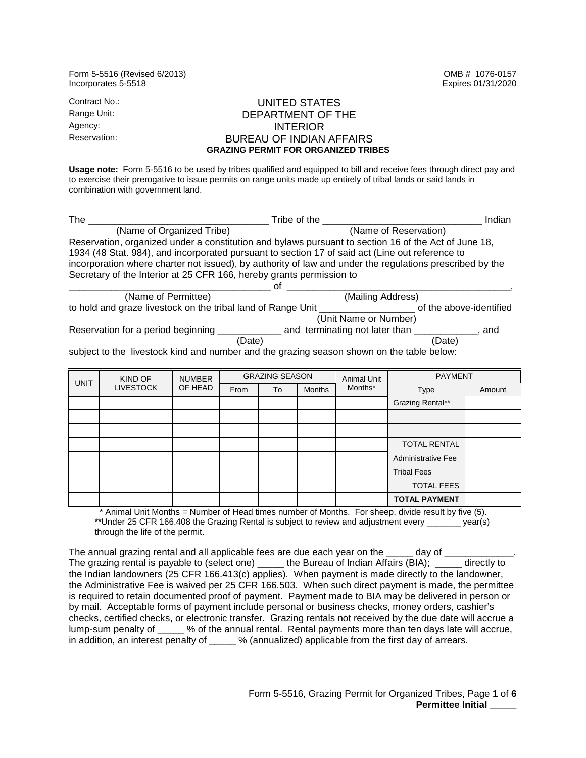Form 5-5516 (Revised 6/2013) OMB # 1076-0157 Incorporates 5-5518 Expires 01/31/2020 Contract No.: UNITED STATES

## Range Unit: DEPARTMENT OF THE<br>Agency: Capaconum Reserved Materials of the Second Materials of the Second Materials of the Second Materials o Agency: INTERIOR<br>Reservation: The BLIREALL OF INDIAN **BUREAU OF INDIAN AFFAIRS GRAZING PERMIT FOR ORGANIZED TRIBES**

 **Usage note:** Form 5-5516 to be used by tribes qualified and equipped to bill and receive fees through direct pay and to exercise their prerogative to issue permits on range units made up entirely of tribal lands or said lands in combination with government land.

| The                                                                                                      | Tribe of the<br>Indian         |                         |  |  |  |  |
|----------------------------------------------------------------------------------------------------------|--------------------------------|-------------------------|--|--|--|--|
| (Name of Organized Tribe)                                                                                | (Name of Reservation)          |                         |  |  |  |  |
| Reservation, organized under a constitution and bylaws pursuant to section 16 of the Act of June 18,     |                                |                         |  |  |  |  |
| 1934 (48 Stat. 984), and incorporated pursuant to section 17 of said act (Line out reference to          |                                |                         |  |  |  |  |
| incorporation where charter not issued), by authority of law and under the regulations prescribed by the |                                |                         |  |  |  |  |
| Secretary of the Interior at 25 CFR 166, hereby grants permission to                                     |                                |                         |  |  |  |  |
|                                                                                                          |                                |                         |  |  |  |  |
| (Name of Permittee)                                                                                      | (Mailing Address)              |                         |  |  |  |  |
| to hold and graze livestock on the tribal land of Range Unit                                             |                                | of the above-identified |  |  |  |  |
|                                                                                                          | (Unit Name or Number)          |                         |  |  |  |  |
| Reservation for a period beginning __                                                                    | and terminating not later than | , and                   |  |  |  |  |
|                                                                                                          | (Date)                         | (Date)                  |  |  |  |  |
| qubiest to the illustrate lived and pumber and the arating concept about an the toble below              |                                |                         |  |  |  |  |

subject to the livestock kind and number and the grazing season shown on the table below:

| <b>UNIT</b> | KIND OF<br><b>LIVESTOCK</b> | <b>NUMBER</b><br>OF HEAD | <b>GRAZING SEASON</b> |    | Animal Unit   | <b>PAYMENT</b> |                      |        |
|-------------|-----------------------------|--------------------------|-----------------------|----|---------------|----------------|----------------------|--------|
|             |                             |                          | From                  | To | <b>Months</b> | Months*        | Type                 | Amount |
|             |                             |                          |                       |    |               |                | Grazing Rental**     |        |
|             |                             |                          |                       |    |               |                |                      |        |
|             |                             |                          |                       |    |               |                |                      |        |
|             |                             |                          |                       |    |               |                | <b>TOTAL RENTAL</b>  |        |
|             |                             |                          |                       |    |               |                | Administrative Fee   |        |
|             |                             |                          |                       |    |               |                | <b>Tribal Fees</b>   |        |
|             |                             |                          |                       |    |               |                | <b>TOTAL FEES</b>    |        |
|             |                             |                          |                       |    |               |                | <b>TOTAL PAYMENT</b> |        |

Animal Unit Months = Number of Head times number of Months. For sheep, divide result by five (5). \*\*Under 25 CFR 166.408 the Grazing Rental is subject to review and adjustment every \_\_\_\_\_\_\_ year(s) through the life of the permit.

The annual grazing rental and all applicable fees are due each year on the  $\rule{1em}{0.25mm}$  day of  $\rule{1.25mm}{0.25mm}$  The grazing rental is payable to (select one) \_\_\_\_\_ the Bureau of Indian Affairs (BIA); \_\_\_\_\_ directly to the Indian landowners (25 CFR 166.413(c) applies). When payment is made directly to the landowner, the Administrative Fee is waived per 25 CFR 166.503. When such direct payment is made, the permittee by mail. Acceptable forms of payment include personal or business checks, money orders, cashier's lump-sum penalty of \_\_\_\_\_ % of the annual rental. Rental payments more than ten days late will accrue, is required to retain documented proof of payment. Payment made to BIA may be delivered in person or checks, certified checks, or electronic transfer. Grazing rentals not received by the due date will accrue a in addition, an interest penalty of \_\_\_\_\_ % (annualized) applicable from the first day of arrears.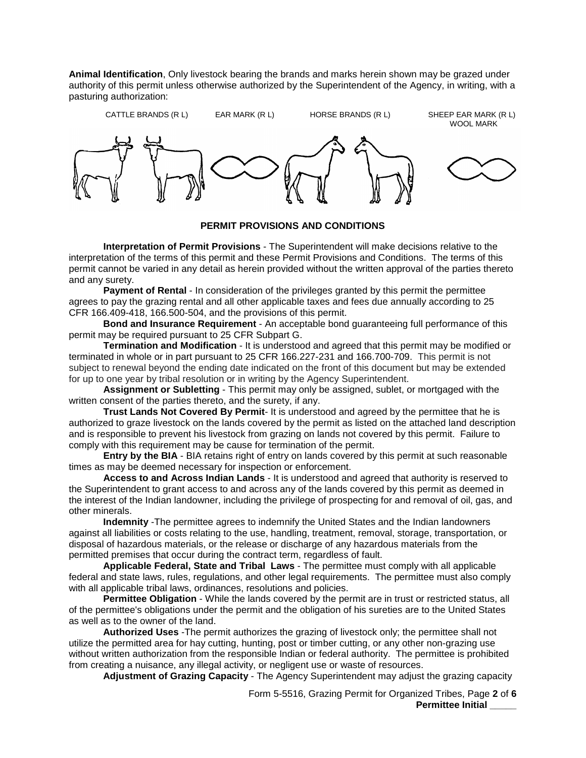authority of this permit unless otherwise authorized by the Superintendent of the Agency, in writing, with a **Animal Identification**, Only livestock bearing the brands and marks herein shown may be grazed under pasturing authorization:



## **PERMIT PROVISIONS AND CONDITIONS**

 **Interpretation of Permit Provisions** - The Superintendent will make decisions relative to the permit cannot be varied in any detail as herein provided without the written approval of the parties thereto and any surety. interpretation of the terms of this permit and these Permit Provisions and Conditions. The terms of this

 CFR 166.409-418, 166.500-504, and the provisions of this permit. **Payment of Rental** - In consideration of the privileges granted by this permit the permittee agrees to pay the grazing rental and all other applicable taxes and fees due annually according to 25

**Bond and Insurance Requirement** - An acceptable bond guaranteeing full performance of this permit may be required pursuant to 25 CFR Subpart G.

 **Termination and Modification** - It is understood and agreed that this permit may be modified or for up to one year by tribal resolution or in writing by the Agency Superintendent. terminated in whole or in part pursuant to 25 CFR 166.227-231 and 166.700-709. This permit is not subject to renewal beyond the ending date indicated on the front of this document but may be extended

 **Assignment or Subletting** - This permit may only be assigned, sublet, or mortgaged with the written consent of the parties thereto, and the surety, if any.

 comply with this requirement may be cause for termination of the permit. **Trust Lands Not Covered By Permit**- It is understood and agreed by the permittee that he is authorized to graze livestock on the lands covered by the permit as listed on the attached land description and is responsible to prevent his livestock from grazing on lands not covered by this permit. Failure to

 **Entry by the BIA** - BIA retains right of entry on lands covered by this permit at such reasonable times as may be deemed necessary for inspection or enforcement.

 **Access to and Across Indian Lands** - It is understood and agreed that authority is reserved to the Superintendent to grant access to and across any of the lands covered by this permit as deemed in the interest of the Indian landowner, including the privilege of prospecting for and removal of oil, gas, and other minerals.

 against all liabilities or costs relating to the use, handling, treatment, removal, storage, transportation, or permitted premises that occur during the contract term, regardless of fault. **Indemnity** -The permittee agrees to indemnify the United States and the Indian landowners disposal of hazardous materials, or the release or discharge of any hazardous materials from the

 **Applicable Federal, State and Tribal Laws** - The permittee must comply with all applicable with all applicable tribal laws, ordinances, resolutions and policies. federal and state laws, rules, regulations, and other legal requirements. The permittee must also comply

 **Permittee Obligation** - While the lands covered by the permit are in trust or restricted status, all of the permittee's obligations under the permit and the obligation of his sureties are to the United States as well as to the owner of the land.

 utilize the permitted area for hay cutting, hunting, post or timber cutting, or any other non-grazing use from creating a nuisance, any illegal activity, or negligent use or waste of resources. **Authorized Uses** -The permit authorizes the grazing of livestock only; the permittee shall not without written authorization from the responsible Indian or federal authority. The permittee is prohibited

**Adjustment of Grazing Capacity** - The Agency Superintendent may adjust the grazing capacity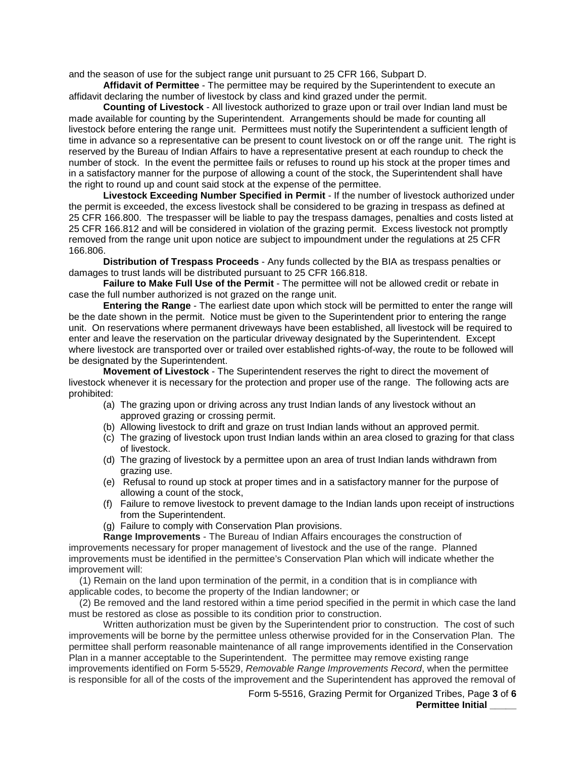and the season of use for the subject range unit pursuant to 25 CFR 166, Subpart D.

**Affidavit of Permittee** - The permittee may be required by the Superintendent to execute an affidavit declaring the number of livestock by class and kind grazed under the permit.

 made available for counting by the Superintendent. Arrangements should be made for counting all livestock before entering the range unit. Permittees must notify the Superintendent a sufficient length of number of stock. In the event the permittee fails or refuses to round up his stock at the proper times and **Counting of Livestock** - All livestock authorized to graze upon or trail over Indian land must be time in advance so a representative can be present to count livestock on or off the range unit. The right is reserved by the Bureau of Indian Affairs to have a representative present at each roundup to check the in a satisfactory manner for the purpose of allowing a count of the stock, the Superintendent shall have the right to round up and count said stock at the expense of the permittee.

 removed from the range unit upon notice are subject to impoundment under the regulations at 25 CFR **Livestock Exceeding Number Specified in Permit** - If the number of livestock authorized under the permit is exceeded, the excess livestock shall be considered to be grazing in trespass as defined at 25 CFR 166.800. The trespasser will be liable to pay the trespass damages, penalties and costs listed at 25 CFR 166.812 and will be considered in violation of the grazing permit. Excess livestock not promptly 166.806.

 damages to trust lands will be distributed pursuant to 25 CFR 166.818. **Distribution of Trespass Proceeds** - Any funds collected by the BIA as trespass penalties or

 **Failure to Make Full Use of the Permit** - The permittee will not be allowed credit or rebate in case the full number authorized is not grazed on the range unit.

 **Entering the Range** - The earliest date upon which stock will be permitted to enter the range will enter and leave the reservation on the particular driveway designated by the Superintendent. Except where livestock are transported over or trailed over established rights-of-way, the route to be followed will be the date shown in the permit. Notice must be given to the Superintendent prior to entering the range unit. On reservations where permanent driveways have been established, all livestock will be required to be designated by the Superintendent.

 livestock whenever it is necessary for the protection and proper use of the range. The following acts are **Movement of Livestock** - The Superintendent reserves the right to direct the movement of prohibited:

- approved grazing or crossing permit. (a) The grazing upon or driving across any trust Indian lands of any livestock without an
- (b) Allowing livestock to drift and graze on trust Indian lands without an approved permit.
- of livestock. (c) The grazing of livestock upon trust Indian lands within an area closed to grazing for that class
- (d) The grazing of livestock by a permittee upon an area of trust Indian lands withdrawn from grazing use.
- (e) Refusal to round up stock at proper times and in a satisfactory manner for the purpose of allowing a count of the stock,
- (f) Failure to remove livestock to prevent damage to the Indian lands upon receipt of instructions from the Superintendent.
- (g) Failure to comply with Conservation Plan provisions.

 improvements necessary for proper management of livestock and the use of the range. Planned **Range Improvements** - The Bureau of Indian Affairs encourages the construction of improvements must be identified in the permittee's Conservation Plan which will indicate whether the improvement will:

(1) Remain on the land upon termination of the permit, in a condition that is in compliance with applicable codes, to become the property of the Indian landowner; or

(2) Be removed and the land restored within a time period specified in the permit in which case the land must be restored as close as possible to its condition prior to construction.

 Written authorization must be given by the Superintendent prior to construction. The cost of such improvements will be borne by the permittee unless otherwise provided for in the Conservation Plan. The is responsible for all of the costs of the improvement and the Superintendent has approved the removal of permittee shall perform reasonable maintenance of all range improvements identified in the Conservation Plan in a manner acceptable to the Superintendent. The permittee may remove existing range improvements identified on Form 5-5529, *Removable Range Improvements Record*, when the permittee

Form 5-5516, Grazing Permit for Organized Tribes, Page **3** of **6**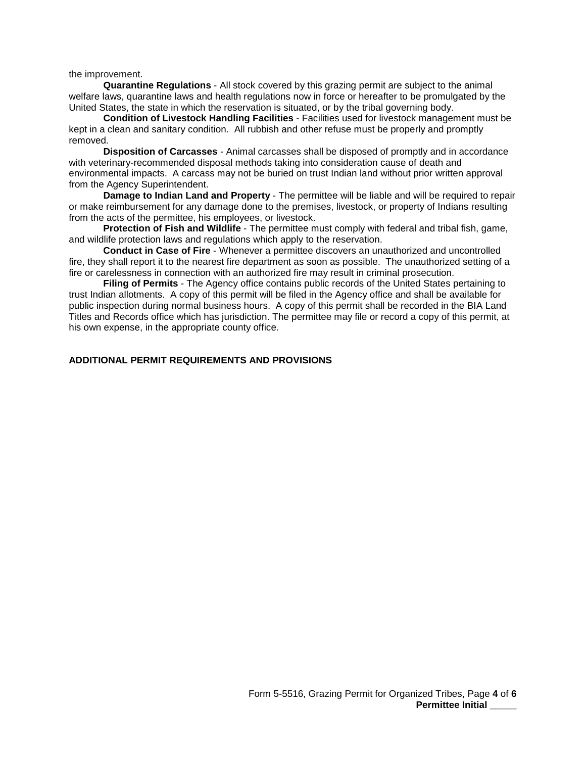the improvement.

 **Quarantine Regulations** - All stock covered by this grazing permit are subject to the animal welfare laws, quarantine laws and health regulations now in force or hereafter to be promulgated by the United States, the state in which the reservation is situated, or by the tribal governing body.

 kept in a clean and sanitary condition. All rubbish and other refuse must be properly and promptly **Condition of Livestock Handling Facilities** - Facilities used for livestock management must be removed.

 environmental impacts. A carcass may not be buried on trust Indian land without prior written approval **Disposition of Carcasses** - Animal carcasses shall be disposed of promptly and in accordance with veterinary-recommended disposal methods taking into consideration cause of death and from the Agency Superintendent.

**Damage to Indian Land and Property** - The permittee will be liable and will be required to repair or make reimbursement for any damage done to the premises, livestock, or property of Indians resulting from the acts of the permittee, his employees, or livestock.

 and wildlife protection laws and regulations which apply to the reservation. **Protection of Fish and Wildlife** - The permittee must comply with federal and tribal fish, game,

**Conduct in Case of Fire** - Whenever a permittee discovers an unauthorized and uncontrolled fire, they shall report it to the nearest fire department as soon as possible. The unauthorized setting of a fire or carelessness in connection with an authorized fire may result in criminal prosecution.

 Titles and Records office which has jurisdiction. The permittee may file or record a copy of this permit, at **Filing of Permits** - The Agency office contains public records of the United States pertaining to trust Indian allotments. A copy of this permit will be filed in the Agency office and shall be available for public inspection during normal business hours. A copy of this permit shall be recorded in the BIA Land his own expense, in the appropriate county office.

## **ADDITIONAL PERMIT REQUIREMENTS AND PROVISIONS**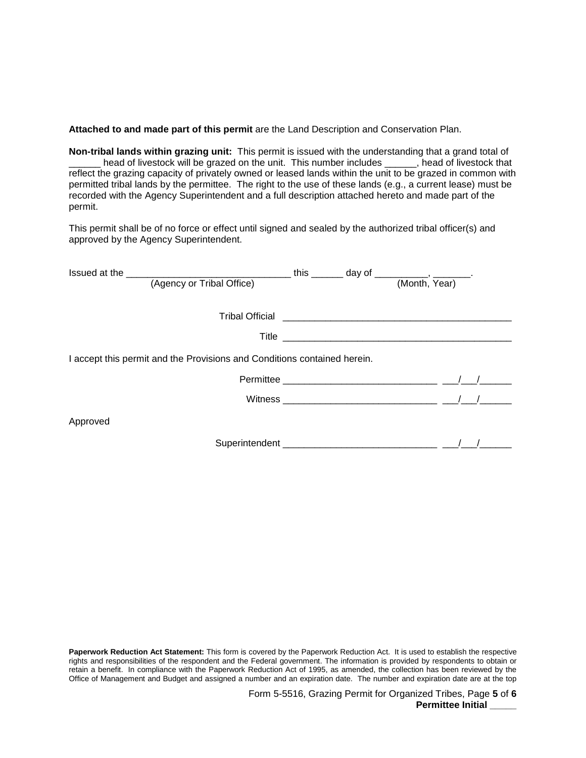**Attached to and made part of this permit** are the Land Description and Conservation Plan.

 **Non-tribal lands within grazing unit:** This permit is issued with the understanding that a grand total of permitted tribal lands by the permittee. The right to the use of these lands (e.g., a current lease) must be head of livestock will be grazed on the unit. This number includes \_\_\_\_\_, head of livestock that reflect the grazing capacity of privately owned or leased lands within the unit to be grazed in common with recorded with the Agency Superintendent and a full description attached hereto and made part of the permit.

This permit shall be of no force or effect until signed and sealed by the authorized tribal officer(s) and approved by the Agency Superintendent.

| (Agency or Tribal Office)                                                |  |  | (Month, Year) |  |  |  |  |  |
|--------------------------------------------------------------------------|--|--|---------------|--|--|--|--|--|
|                                                                          |  |  |               |  |  |  |  |  |
|                                                                          |  |  |               |  |  |  |  |  |
|                                                                          |  |  |               |  |  |  |  |  |
| I accept this permit and the Provisions and Conditions contained herein. |  |  |               |  |  |  |  |  |
|                                                                          |  |  |               |  |  |  |  |  |
|                                                                          |  |  |               |  |  |  |  |  |
| Approved                                                                 |  |  |               |  |  |  |  |  |
|                                                                          |  |  |               |  |  |  |  |  |

 **Paperwork Reduction Act Statement:** This form is covered by the Paperwork Reduction Act. It is used to establish the respective retain a benefit. In compliance with the Paperwork Reduction Act of 1995, as amended, the collection has been reviewed by the Office of Management and Budget and assigned a number and an expiration date. The number and expiration date are at the top rights and responsibilities of the respondent and the Federal government. The information is provided by respondents to obtain or

> Form 5-5516, Grazing Permit for Organized Tribes, Page **5** of **6 Permittee Initial**